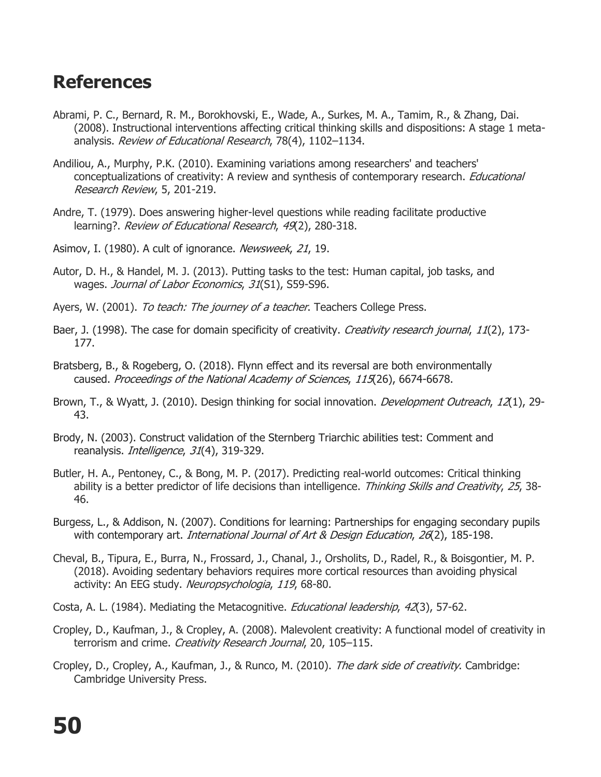## **References**

- Abrami, P. C., Bernard, R. M., Borokhovski, E., Wade, A., Surkes, M. A., Tamim, R., & Zhang, Dai. (2008). Instructional interventions affecting critical thinking skills and dispositions: A stage 1 metaanalysis. Review of Educational Research, 78(4), 1102-1134.
- Andiliou, A., Murphy, P.K. (2010). Examining variations among researchers' and teachers' conceptualizations of creativity: A review and synthesis of contemporary research. *Educational* Research Review, 5, 201-219.
- Andre, T. (1979). Does answering higher-level questions while reading facilitate productive learning?. Review of Educational Research, 49(2), 280-318.
- Asimov, I. (1980). A cult of ignorance. Newsweek, 21, 19.
- Autor, D. H., & Handel, M. J. (2013). Putting tasks to the test: Human capital, job tasks, and wages. Journal of Labor Economics, 31(S1), S59-S96.
- Ayers, W. (2001). To teach: The journey of a teacher. Teachers College Press.
- Baer, J. (1998). The case for domain specificity of creativity. *Creativity research journal*, 11(2), 173-177.
- Bratsberg, B., & Rogeberg, O. (2018). Flynn effect and its reversal are both environmentally caused. Proceedings of the National Academy of Sciences, 115(26), 6674-6678.
- Brown, T., & Wyatt, J. (2010). Design thinking for social innovation. *Development Outreach*, 12(1), 29-43.
- Brody, N. (2003). Construct validation of the Sternberg Triarchic abilities test: Comment and reanalysis. *Intelligence*, 31(4), 319-329.
- Butler, H. A., Pentoney, C., & Bong, M. P. (2017). Predicting real-world outcomes: Critical thinking ability is a better predictor of life decisions than intelligence. Thinking Skills and Creativity, 25, 38-46.
- Burgess, L., & Addison, N. (2007). Conditions for learning: Partnerships for engaging secondary pupils with contemporary art. *International Journal of Art & Design Education, 26*(2), 185-198.
- Cheval, B., Tipura, E., Burra, N., Frossard, J., Chanal, J., Orsholits, D., Radel, R., & Boisgontier, M. P. (2018). Avoiding sedentary behaviors requires more cortical resources than avoiding physical activity: An EEG study. Neuropsychologia, 119, 68-80.
- Costa, A. L. (1984). Mediating the Metacognitive. *Educational leadership, 42*(3), 57-62.
- Cropley, D., Kaufman, J., & Cropley, A. (2008). Malevolent creativity: A functional model of creativity in terrorism and crime. Creativity Research Journal, 20, 105-115.
- Cropley, D., Cropley, A., Kaufman, J., & Runco, M. (2010). The dark side of creativity. Cambridge: Cambridge University Press.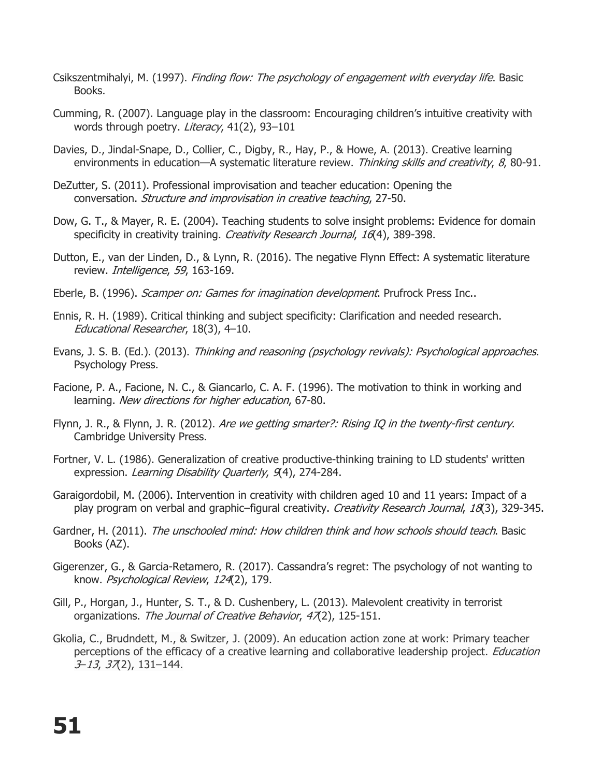- Csikszentmihalyi, M. (1997). Finding flow: The psychology of engagement with everyday life. Basic Books.
- Cumming, R. (2007). Language play in the classroom: Encouraging children's intuitive creativity with words through poetry. Literacy, 41(2), 93-101
- Davies, D., Jindal-Snape, D., Collier, C., Digby, R., Hay, P., & Howe, A. (2013). Creative learning environments in education—A systematic literature review. Thinking skills and creativity, 8, 80-91.
- DeZutter, S. (2011). Professional improvisation and teacher education: Opening the conversation. Structure and improvisation in creative teaching, 27-50.
- Dow, G. T., & Mayer, R. E. (2004). Teaching students to solve insight problems: Evidence for domain specificity in creativity training. Creativity Research Journal, 16(4), 389-398.
- Dutton, E., van der Linden, D., & Lynn, R. (2016). The negative Flynn Effect: A systematic literature review. Intelligence, 59, 163-169.
- Eberle, B. (1996). *Scamper on: Games for imagination development*. Prufrock Press Inc..
- Ennis, R. H. (1989). Critical thinking and subject specificity: Clarification and needed research. Educational Researcher, 18(3), 4–10.
- Evans, J. S. B. (Ed.). (2013). Thinking and reasoning (psychology revivals): Psychological approaches. Psychology Press.
- Facione, P. A., Facione, N. C., & Giancarlo, C. A. F. (1996). The motivation to think in working and learning. New directions for higher education, 67-80.
- Flynn, J. R., & Flynn, J. R. (2012). Are we getting smarter?: Rising IQ in the twenty-first century. Cambridge University Press.
- Fortner, V. L. (1986). Generalization of creative productive-thinking training to LD students' written expression. Learning Disability Quarterly, 9(4), 274-284.
- Garaigordobil, M. (2006). Intervention in creativity with children aged 10 and 11 years: Impact of a play program on verbal and graphic–figural creativity. Creativity Research Journal, 18(3), 329-345.
- Gardner, H. (2011). The unschooled mind: How children think and how schools should teach. Basic Books (AZ).
- Gigerenzer, G., & Garcia-Retamero, R. (2017). Cassandra's regret: The psychology of not wanting to know. Psychological Review, 124(2), 179.
- Gill, P., Horgan, J., Hunter, S. T., & D. Cushenbery, L. (2013). Malevolent creativity in terrorist organizations. The Journal of Creative Behavior, 47(2), 125-151.
- Gkolia, C., Brudndett, M., & Switzer, J. (2009). An education action zone at work: Primary teacher perceptions of the efficacy of a creative learning and collaborative leadership project. *Education* 3–13, 37(2), 131–144.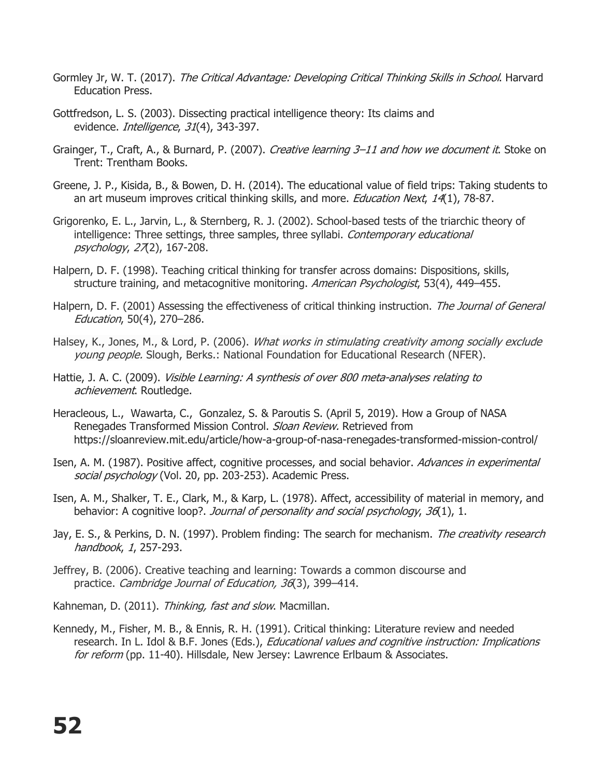- Gormley Jr, W. T. (2017). The Critical Advantage: Developing Critical Thinking Skills in School. Harvard Education Press.
- Gottfredson, L. S. (2003). Dissecting practical intelligence theory: Its claims and evidence. *Intelligence*, 31(4), 343-397.
- Grainger, T., Craft, A., & Burnard, P. (2007). Creative learning 3–11 and how we document it. Stoke on Trent: Trentham Books.
- Greene, J. P., Kisida, B., & Bowen, D. H. (2014). The educational value of field trips: Taking students to an art museum improves critical thinking skills, and more. *Education Next*, 14(1), 78-87.
- Grigorenko, E. L., Jarvin, L., & Sternberg, R. J. (2002). School-based tests of the triarchic theory of intelligence: Three settings, three samples, three syllabi. Contemporary educational psychology, 27(2), 167-208.
- Halpern, D. F. (1998). Teaching critical thinking for transfer across domains: Dispositions, skills, structure training, and metacognitive monitoring. American Psychologist, 53(4), 449–455.
- Halpern, D. F. (2001) Assessing the effectiveness of critical thinking instruction. The Journal of General Education, 50(4), 270–286.
- Halsey, K., Jones, M., & Lord, P. (2006). What works in stimulating creativity among socially exclude young people. Slough, Berks.: National Foundation for Educational Research (NFER).
- Hattie, J. A. C. (2009). *Visible Learning: A synthesis of over 800 meta-analyses relating to* achievement. Routledge.
- Heracleous, L., Wawarta, C., Gonzalez, S. & Paroutis S. (April 5, 2019). How a Group of NASA Renegades Transformed Mission Control. Sloan Review. Retrieved from https://sloanreview.mit.edu/article/how-a-group-of-nasa-renegades-transformed-mission-control/
- Isen, A. M. (1987). Positive affect, cognitive processes, and social behavior. Advances in experimental social psychology (Vol. 20, pp. 203-253). Academic Press.
- Isen, A. M., Shalker, T. E., Clark, M., & Karp, L. (1978). Affect, accessibility of material in memory, and behavior: A cognitive loop?. Journal of personality and social psychology, 36(1), 1.
- Jay, E. S., & Perkins, D. N. (1997). Problem finding: The search for mechanism. The creativity research handbook, 1, 257-293.
- Jeffrey, B. (2006). Creative teaching and learning: Towards a common discourse and practice. Cambridge Journal of Education, 36(3), 399–414.
- Kahneman, D. (2011). Thinking, fast and slow. Macmillan.
- Kennedy, M., Fisher, M. B., & Ennis, R. H. (1991). Critical thinking: Literature review and needed research. In L. Idol & B.F. Jones (Eds.), Educational values and cognitive instruction: Implications for reform (pp. 11-40). Hillsdale, New Jersey: Lawrence Erlbaum & Associates.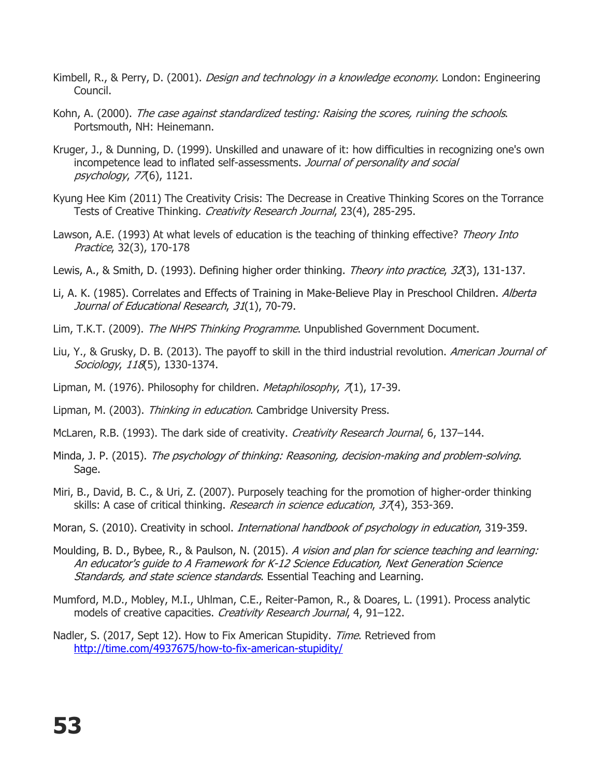- Kimbell, R., & Perry, D. (2001). *Design and technology in a knowledge economy*. London: Engineering Council.
- Kohn, A. (2000). The case against standardized testing: Raising the scores, ruining the schools. Portsmouth, NH: Heinemann.
- Kruger, J., & Dunning, D. (1999). Unskilled and unaware of it: how difficulties in recognizing one's own incompetence lead to inflated self-assessments. Journal of personality and social psychology, 77(6), 1121.
- Kyung Hee Kim (2011) The Creativity Crisis: The Decrease in Creative Thinking Scores on the Torrance Tests of Creative Thinking. *Creativity Research Journal*, 23(4), 285-295.
- Lawson, A.E. (1993) At what levels of education is the teaching of thinking effective? Theory Into Practice, 32(3), 170-178
- Lewis, A., & Smith, D. (1993). Defining higher order thinking. Theory into practice, 32(3), 131-137.
- Li, A. K. (1985). Correlates and Effects of Training in Make-Believe Play in Preschool Children. Alberta Journal of Educational Research, 31(1), 70-79.
- Lim, T.K.T. (2009). The NHPS Thinking Programme. Unpublished Government Document.
- Liu, Y., & Grusky, D. B. (2013). The payoff to skill in the third industrial revolution. American Journal of Sociology, 118(5), 1330-1374.
- Lipman, M. (1976). Philosophy for children. Metaphilosophy, 7(1), 17-39.
- Lipman, M. (2003). Thinking in education. Cambridge University Press.
- McLaren, R.B. (1993). The dark side of creativity. Creativity Research Journal, 6, 137–144.
- Minda, J. P. (2015). The psychology of thinking: Reasoning, decision-making and problem-solving. Sage.
- Miri, B., David, B. C., & Uri, Z. (2007). Purposely teaching for the promotion of higher-order thinking skills: A case of critical thinking. *Research in science education*, 37(4), 353-369.
- Moran, S. (2010). Creativity in school. *International handbook of psychology in education*, 319-359.
- Moulding, B. D., Bybee, R., & Paulson, N. (2015). A vision and plan for science teaching and learning: An educator's guide to A Framework for K-12 Science Education, Next Generation Science Standards, and state science standards. Essential Teaching and Learning.
- Mumford, M.D., Mobley, M.I., Uhlman, C.E., Reiter-Pamon, R., & Doares, L. (1991). Process analytic models of creative capacities. Creativity Research Journal, 4, 91-122.
- Nadler, S. (2017, Sept 12). How to Fix American Stupidity. Time. Retrieved from http://time.com/4937675/how-to-fix-american-stupidity/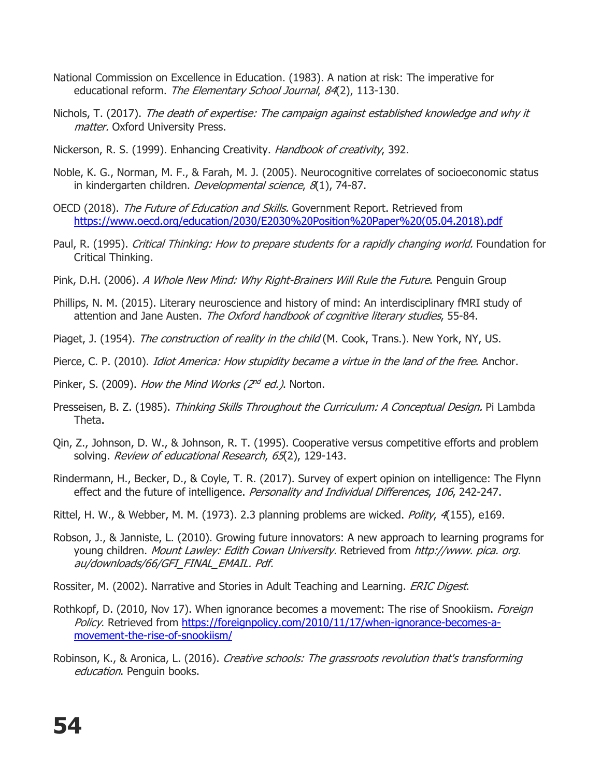- National Commission on Excellence in Education. (1983). A nation at risk: The imperative for educational reform. The Elementary School Journal, 84(2), 113-130.
- Nichols, T. (2017). The death of expertise: The campaign against established knowledge and why it matter. Oxford University Press.
- Nickerson, R. S. (1999). Enhancing Creativity. *Handbook of creativity*, 392.
- Noble, K. G., Norman, M. F., & Farah, M. J. (2005). Neurocognitive correlates of socioeconomic status in kindergarten children. Developmental science, 8(1), 74-87.
- OECD (2018). The Future of Education and Skills. Government Report. Retrieved from https://www.oecd.org/education/2030/E2030%20Position%20Paper%20(05.04.2018).pdf
- Paul, R. (1995). Critical Thinking: How to prepare students for a rapidly changing world. Foundation for Critical Thinking.
- Pink, D.H. (2006). A Whole New Mind: Why Right-Brainers Will Rule the Future. Penguin Group
- Phillips, N. M. (2015). Literary neuroscience and history of mind: An interdisciplinary fMRI study of attention and Jane Austen. The Oxford handbook of cognitive literary studies, 55-84.
- Piaget, J. (1954). The construction of reality in the child (M. Cook, Trans.). New York, NY, US.
- Pierce, C. P. (2010). *Idiot America: How stupidity became a virtue in the land of the free*. Anchor.
- Pinker, S. (2009). How the Mind Works ( $2^{nd}$  ed.). Norton.
- Presseisen, B. Z. (1985). Thinking Skills Throughout the Curriculum: A Conceptual Design. Pi Lambda Theta.
- Qin, Z., Johnson, D. W., & Johnson, R. T. (1995). Cooperative versus competitive efforts and problem solving. Review of educational Research, 65(2), 129-143.
- Rindermann, H., Becker, D., & Coyle, T. R. (2017). Survey of expert opinion on intelligence: The Flynn effect and the future of intelligence. Personality and Individual Differences, 106, 242-247.
- Rittel, H. W., & Webber, M. M. (1973). 2.3 planning problems are wicked. *Polity, 4*(155), e169.
- Robson, J., & Janniste, L. (2010). Growing future innovators: A new approach to learning programs for young children. Mount Lawley: Edith Cowan University. Retrieved from http://www. pica. org. au/downloads/66/GFI\_FINAL\_EMAIL. Pdf.
- Rossiter, M. (2002). Narrative and Stories in Adult Teaching and Learning. *ERIC Digest.*
- Rothkopf, D. (2010, Nov 17). When ignorance becomes a movement: The rise of Snookiism. Foreign Policy. Retrieved from https://foreignpolicy.com/2010/11/17/when-ignorance-becomes-amovement-the-rise-of-snookiism/
- Robinson, K., & Aronica, L. (2016). Creative schools: The grassroots revolution that's transforming education. Penguin books.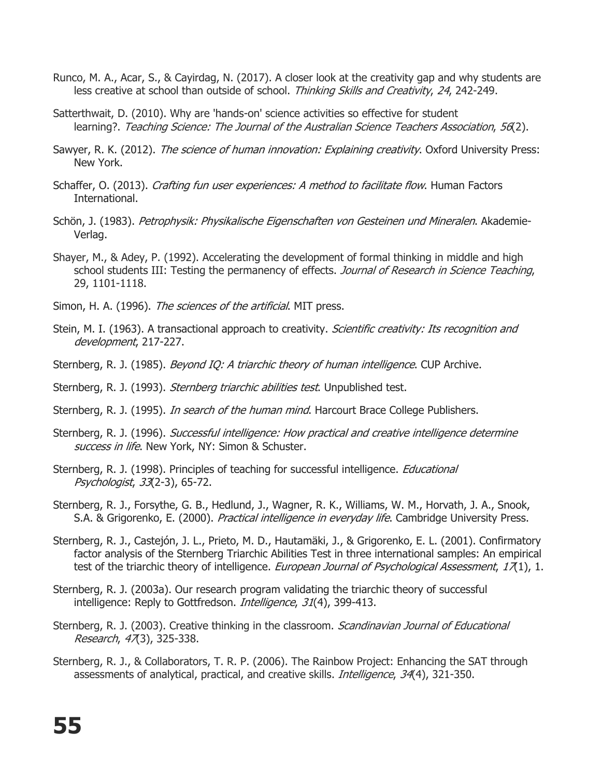- Runco, M. A., Acar, S., & Cayirdag, N. (2017). A closer look at the creativity gap and why students are less creative at school than outside of school. Thinking Skills and Creativity, 24, 242-249.
- Satterthwait, D. (2010). Why are 'hands-on' science activities so effective for student learning?. Teaching Science: The Journal of the Australian Science Teachers Association, 56(2).
- Sawyer, R. K. (2012). *The science of human innovation: Explaining creativity*. Oxford University Press: New York.
- Schaffer, O. (2013). *Crafting fun user experiences: A method to facilitate flow*. Human Factors International.
- Schön, J. (1983). Petrophysik: Physikalische Eigenschaften von Gesteinen und Mineralen. Akademie-Verlag.
- Shayer, M., & Adey, P. (1992). Accelerating the development of formal thinking in middle and high school students III: Testing the permanency of effects. Journal of Research in Science Teaching, 29, 1101-1118.
- Simon, H. A. (1996). The sciences of the artificial. MIT press.
- Stein, M. I. (1963). A transactional approach to creativity. Scientific creativity: Its recognition and development, 217-227.
- Sternberg, R. J. (1985). *Beyond IQ: A triarchic theory of human intelligence*. CUP Archive.
- Sternberg, R. J. (1993). *Sternberg triarchic abilities test*. Unpublished test.
- Sternberg, R. J. (1995). *In search of the human mind*. Harcourt Brace College Publishers.
- Sternberg, R. J. (1996). Successful intelligence: How practical and creative intelligence determine success in life. New York, NY: Simon & Schuster.
- Sternberg, R. J. (1998). Principles of teaching for successful intelligence. *Educational* Psychologist, 33(2-3), 65-72.
- Sternberg, R. J., Forsythe, G. B., Hedlund, J., Wagner, R. K., Williams, W. M., Horvath, J. A., Snook, S.A. & Grigorenko, E. (2000). Practical intelligence in everyday life. Cambridge University Press.
- Sternberg, R. J., Castejón, J. L., Prieto, M. D., Hautamäki, J., & Grigorenko, E. L. (2001). Confirmatory factor analysis of the Sternberg Triarchic Abilities Test in three international samples: An empirical test of the triarchic theory of intelligence. European Journal of Psychological Assessment, 17(1), 1.
- Sternberg, R. J. (2003a). Our research program validating the triarchic theory of successful intelligence: Reply to Gottfredson. *Intelligence, 31*(4), 399-413.
- Sternberg, R. J. (2003). Creative thinking in the classroom. Scandinavian Journal of Educational Research, 47(3), 325-338.
- Sternberg, R. J., & Collaborators, T. R. P. (2006). The Rainbow Project: Enhancing the SAT through assessments of analytical, practical, and creative skills. Intelligence, 34(4), 321-350.